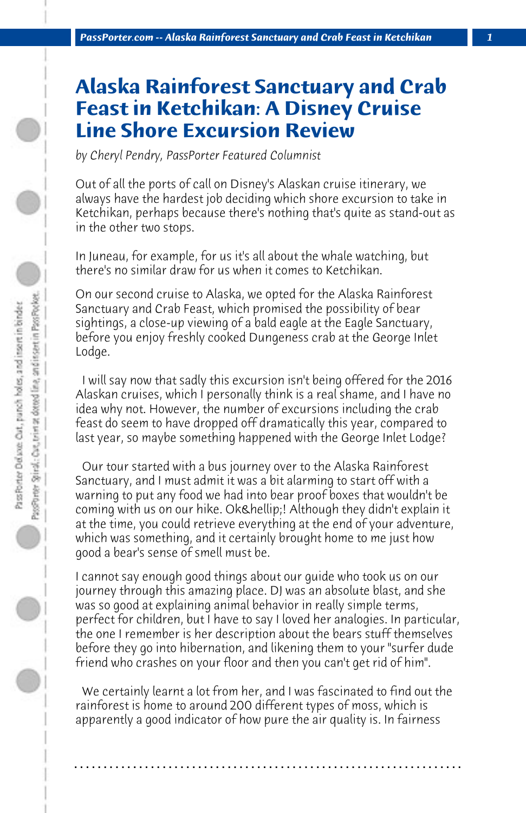## **Alaska Rainforest Sanctuary and Crab Feast in Ketchikan: A Disney Cruise Line Shore Excursion Review**

*by Cheryl Pendry, PassPorter Featured Columnist*

Out of all the ports of call on Disney's Alaskan cruise itinerary, we always have the hardest job deciding which shore excursion to take in Ketchikan, perhaps because there's nothing that's quite as stand-out as in the other two stops.

In Juneau, for example, for us it's all about the whale watching, but there's no similar draw for us when it comes to Ketchikan.

On our second cruise to Alaska, we opted for the Alaska Rainforest Sanctuary and Crab Feast, which promised the possibility of bear sightings, a close-up viewing of a bald eagle at the Eagle Sanctuary, before you enjoy freshly cooked Dungeness crab at the George Inlet Lodge.

 I will say now that sadly this excursion isn't being offered for the 2016 Alaskan cruises, which I personally think is a real shame, and I have no idea why not. However, the number of excursions including the crab feast do seem to have dropped off dramatically this year, compared to last year, so maybe something happened with the George Inlet Lodge?

 Our tour started with a bus journey over to the Alaska Rainforest Sanctuary, and I must admit it was a bit alarming to start off with a warning to put any food we had into bear proof boxes that wouldn't be coming with us on our hike. Ok…! Although they didn't explain it at the time, you could retrieve everything at the end of your adventure, which was something, and it certainly brought home to me just how good a bear's sense of smell must be.

I cannot say enough good things about our guide who took us on our journey through this amazing place. DJ was an absolute blast, and she was so good at explaining animal behavior in really simple terms, perfect for children, but I have to say I loved her analogies. In particular, the one I remember is her description about the bears stuff themselves before they go into hibernation, and likening them to your "surfer dude friend who crashes on your floor and then you can't get rid of him".

 We certainly learnt a lot from her, and I was fascinated to find out the rainforest is home to around 200 different types of moss, which is apparently a good indicator of how pure the air quality is. In fairness

**. . . . . . . . . . . . . . . . . . . . . . . . . . . . . . . . . . . . . . . . . . . . . . . . . . . . . . . . . . . . . . . . . .**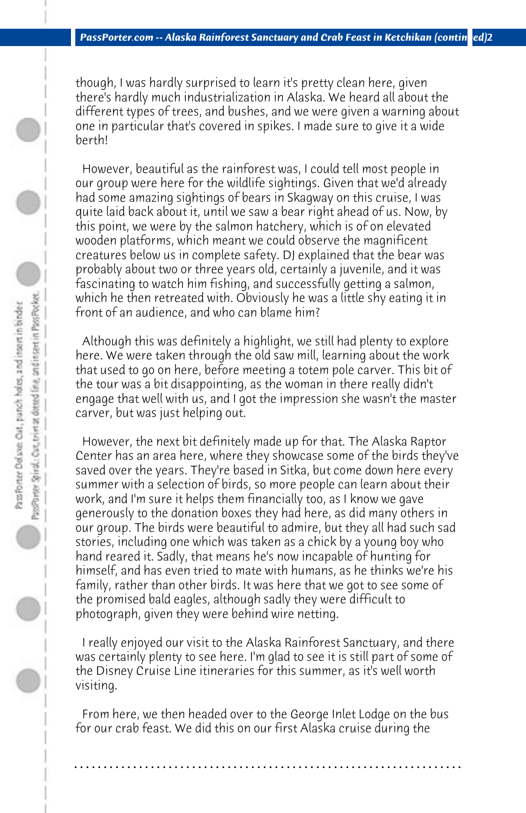though, I was hardly surprised to learn it's pretty clean here, given there's hardly much industrialization in Alaska. We heard all about the different types of trees, and bushes, and we were given a warning about one in particular that's covered in spikes. I made sure to give it a wide berth!

 However, beautiful as the rainforest was, I could tell most people in our group were here for the wildlife sightings. Given that we'd already had some amazing sightings of bears in Skagway on this cruise, I was quite laid back about it, until we saw a bear right ahead of us. Now, by this point, we were by the salmon hatchery, which is of on elevated wooden platforms, which meant we could observe the magnificent creatures below us in complete safety. DJ explained that the bear was probably about two or three years old, certainly a juvenile, and it was fascinating to watch him fishing, and successfully getting a salmon, which he then retreated with. Obviously he was a little shy eating it in front of an audience, and who can blame him?

 Although this was definitely a highlight, we still had plenty to explore here. We were taken through the old saw mill, learning about the work that used to go on here, before meeting a totem pole carver. This bit of the tour was a bit disappointing, as the woman in there really didn't engage that well with us, and I got the impression she wasn't the master carver, but was just helping out.

 However, the next bit definitely made up for that. The Alaska Raptor Center has an area here, where they showcase some of the birds they've saved over the years. They're based in Sitka, but come down here every summer with a selection of birds, so more people can learn about their work, and I'm sure it helps them financially too, as I know we gave generously to the donation boxes they had here, as did many others in our group. The birds were beautiful to admire, but they all had such sad stories, including one which was taken as a chick by a young boy who hand reared it. Sadly, that means he's now incapable of hunting for himself, and has even tried to mate with humans, as he thinks we're his family, rather than other birds. It was here that we got to see some of the promised bald eagles, although sadly they were difficult to photograph, given they were behind wire netting.

 I really enjoyed our visit to the Alaska Rainforest Sanctuary, and there was certainly plenty to see here. I'm glad to see it is still part of some of the Disney Cruise Line itineraries for this summer, as it's well worth visiting.

 From here, we then headed over to the George Inlet Lodge on the bus for our crab feast. We did this on our first Alaska cruise during the

**. . . . . . . . . . . . . . . . . . . . . . . . . . . . . . . . . . . . . . . . . . . . . . . . . . . . . . . . . . . . . . . . . .**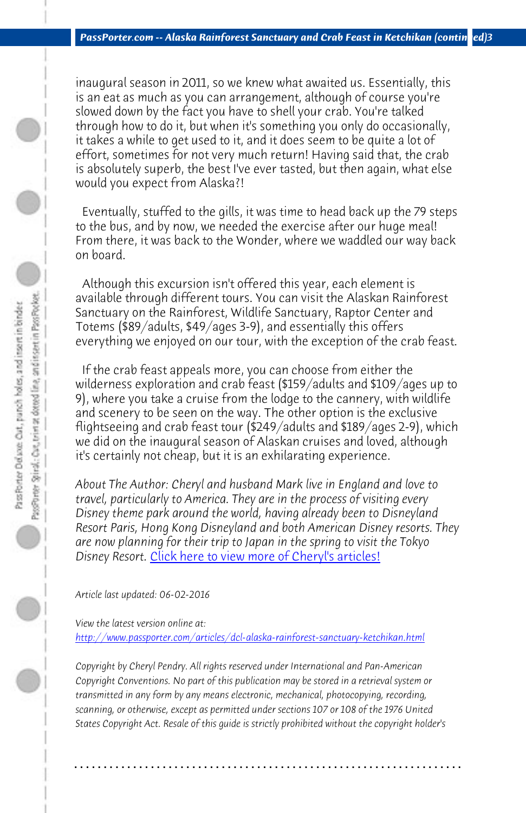*PassPorter.com -- Alaska Rainforest Sanctuary and Crab Feast in Ketchikan (contin ed)3* 

inaugural season in 2011, so we knew what awaited us. Essentially, this is an eat as much as you can arrangement, although of course you're slowed down by the fact you have to shell your crab. You're talked through how to do it, but when it's something you only do occasionally, it takes a while to get used to it, and it does seem to be quite a lot of effort, sometimes for not very much return! Having said that, the crab is absolutely superb, the best I've ever tasted, but then again, what else would you expect from Alaska?!

 Eventually, stuffed to the gills, it was time to head back up the 79 steps to the bus, and by now, we needed the exercise after our huge meal! From there, it was back to the Wonder, where we waddled our way back on board.

 Although this excursion isn't offered this year, each element is available through different tours. You can visit the Alaskan Rainforest Sanctuary on [the Rainforest, Wildlife Sanctuary, Raptor C](http://www.passporter.com/articles/cheryl-pendry-featured-columnist.asp)enter and Totems (\$89/adults, \$49/ages 3-9), and essentially this offers everything we enjoyed on our tour, with the exception of the crab feast.

 If the crab feast appeals more, you can choose from either the wilderness exploration and crab feast (\$159/adults and \$109/ages up to [9\), where you take a cruise from the lodge to the cannery, with wil](http://www.passporter.com/articles/dcl-alaska-rainforest-sanctuary-ketchikan.php)dlife and scenery to be seen on the way. The other option is the exclusive flightseeing and crab feast tour (\$249/adults and \$189/ages 2-9), which we did on the inaugural season of Alaskan cruises and loved, although it's certainly not cheap, but it is an exhilarating experience.

*About The Author: Cheryl and husband Mark live in England and love to travel, particularly to America. They are in the process of visiting every Disney theme park around the world, having already been to Disneyland Resort Paris, Hong Kong Disneyland and both American Disney resorts. They are now planning for their trip to Japan in the spring to visit the Tokyo Disney Resort.* Click here to view more of Cheryl's articles!

*Article last updated: 06-02-2016*

*View the latest version online at: http://www.passporter.com/articles/dcl-alaska-rainforest-sanctuary-ketchikan.html*

*Copyright by Cheryl Pendry. All rights reserved under International and Pan-American Copyright Conventions. No part of this publication may be stored in a retrieval system or transmitted in any form by any means electronic, mechanical, photocopying, recording, scanning, or otherwise, except as permitted under sections 107 or 108 of the 1976 United States Copyright Act. Resale of this guide is strictly prohibited without the copyright holder's*

**. . . . . . . . . . . . . . . . . . . . . . . . . . . . . . . . . . . . . . . . . . . . . . . . . . . . . . . . . . . . . . . . . .**

 $\circ$